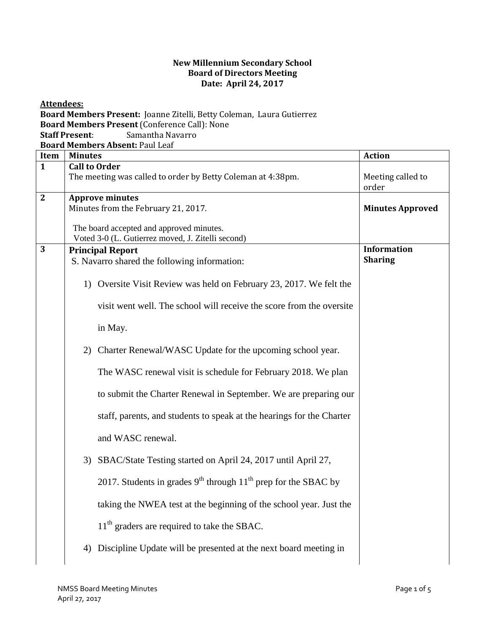## **New Millennium Secondary School Board of Directors Meeting Date: April 24, 2017**

**Attendees: Board Members Present:** Joanne Zitelli, Betty Coleman, Laura Gutierrez **Board Members Present** (Conference Call): None **Staff Present**: Samantha Navarro **Board Members Absent:** Paul Leaf **Item Minutes Action 1 Call to Order** The meeting was called to order by Betty Coleman at  $4:38$ pm.  $\blacksquare$  Meeting called to order **2 Approve minutes**  Minutes from the February 21, 2017. The board accepted and approved minutes. Voted 3-0 (L. Gutierrez moved, J. Zitelli second) **Minutes Approved 3 Principal Report** S. Navarro shared the following information: 1) Oversite Visit Review was held on February 23, 2017. We felt the visit went well. The school will receive the score from the oversite in May. 2) Charter Renewal/WASC Update for the upcoming school year. The WASC renewal visit is schedule for February 2018. We plan to submit the Charter Renewal in September. We are preparing our staff, parents, and students to speak at the hearings for the Charter and WASC renewal. 3) SBAC/State Testing started on April 24, 2017 until April 27, 2017. Students in grades  $9<sup>th</sup>$  through  $11<sup>th</sup>$  prep for the SBAC by taking the NWEA test at the beginning of the school year. Just the  $11<sup>th</sup>$  graders are required to take the SBAC. 4) Discipline Update will be presented at the next board meeting in **Information Sharing**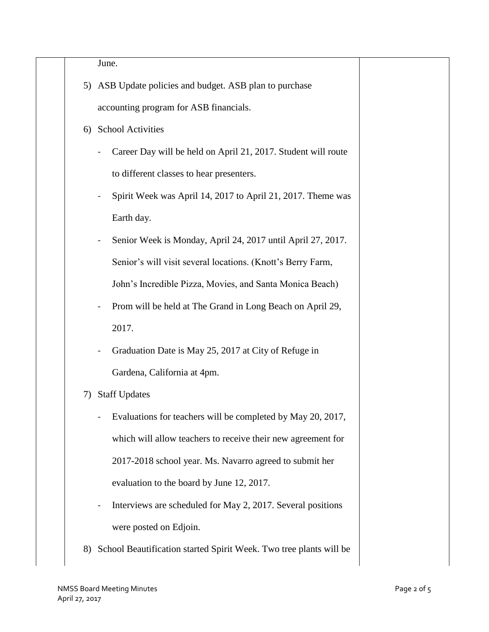June.

- 5) ASB Update policies and budget. ASB plan to purchase accounting program for ASB financials.
- 6) School Activities
	- Career Day will be held on April 21, 2017. Student will route to different classes to hear presenters.
	- Spirit Week was April 14, 2017 to April 21, 2017. Theme was Earth day.
	- Senior Week is Monday, April 24, 2017 until April 27, 2017. Senior's will visit several locations. (Knott's Berry Farm, John's Incredible Pizza, Movies, and Santa Monica Beach)
	- Prom will be held at The Grand in Long Beach on April 29, 2017.
	- Graduation Date is May 25, 2017 at City of Refuge in Gardena, California at 4pm.
- 7) Staff Updates
	- Evaluations for teachers will be completed by May 20, 2017, which will allow teachers to receive their new agreement for 2017-2018 school year. Ms. Navarro agreed to submit her evaluation to the board by June 12, 2017.
	- Interviews are scheduled for May 2, 2017. Several positions were posted on Edjoin.
- 8) School Beautification started Spirit Week. Two tree plants will be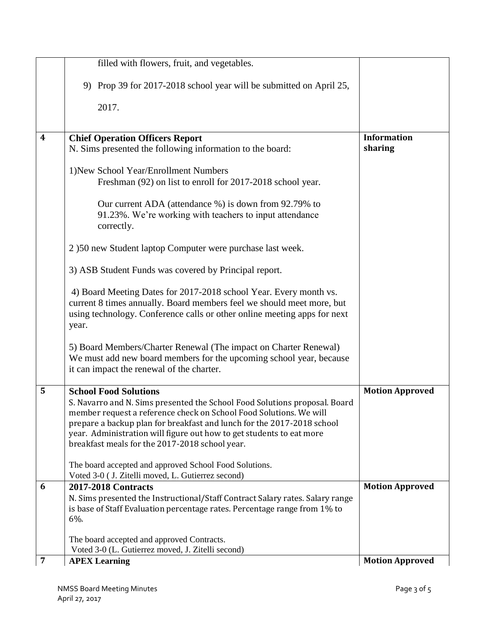|                  | filled with flowers, fruit, and vegetables.                                                                                                                                                                                                                                                                                                                                          |                               |
|------------------|--------------------------------------------------------------------------------------------------------------------------------------------------------------------------------------------------------------------------------------------------------------------------------------------------------------------------------------------------------------------------------------|-------------------------------|
|                  | 9) Prop 39 for 2017-2018 school year will be submitted on April 25,                                                                                                                                                                                                                                                                                                                  |                               |
|                  | 2017.                                                                                                                                                                                                                                                                                                                                                                                |                               |
| $\boldsymbol{4}$ | <b>Chief Operation Officers Report</b><br>N. Sims presented the following information to the board:                                                                                                                                                                                                                                                                                  | <b>Information</b><br>sharing |
|                  | 1) New School Year/Enrollment Numbers<br>Freshman (92) on list to enroll for 2017-2018 school year.                                                                                                                                                                                                                                                                                  |                               |
|                  | Our current ADA (attendance %) is down from 92.79% to<br>91.23%. We're working with teachers to input attendance<br>correctly.                                                                                                                                                                                                                                                       |                               |
|                  | 2 )50 new Student laptop Computer were purchase last week.                                                                                                                                                                                                                                                                                                                           |                               |
|                  | 3) ASB Student Funds was covered by Principal report.                                                                                                                                                                                                                                                                                                                                |                               |
|                  | 4) Board Meeting Dates for 2017-2018 school Year. Every month vs.<br>current 8 times annually. Board members feel we should meet more, but<br>using technology. Conference calls or other online meeting apps for next<br>year.                                                                                                                                                      |                               |
|                  | 5) Board Members/Charter Renewal (The impact on Charter Renewal)<br>We must add new board members for the upcoming school year, because<br>it can impact the renewal of the charter.                                                                                                                                                                                                 |                               |
| 5                | <b>School Food Solutions</b><br>S. Navarro and N. Sims presented the School Food Solutions proposal. Board<br>member request a reference check on School Food Solutions. We will<br>prepare a backup plan for breakfast and lunch for the 2017-2018 school<br>year. Administration will figure out how to get students to eat more<br>breakfast meals for the 2017-2018 school year. | <b>Motion Approved</b>        |
|                  | The board accepted and approved School Food Solutions.<br>Voted 3-0 (J. Zitelli moved, L. Gutierrez second)                                                                                                                                                                                                                                                                          |                               |
| 6                | <b>2017-2018 Contracts</b><br>N. Sims presented the Instructional/Staff Contract Salary rates. Salary range<br>is base of Staff Evaluation percentage rates. Percentage range from 1% to<br>6%.                                                                                                                                                                                      | <b>Motion Approved</b>        |
|                  | The board accepted and approved Contracts.<br>Voted 3-0 (L. Gutierrez moved, J. Zitelli second)                                                                                                                                                                                                                                                                                      |                               |
| $\overline{7}$   | <b>APEX Learning</b>                                                                                                                                                                                                                                                                                                                                                                 | <b>Motion Approved</b>        |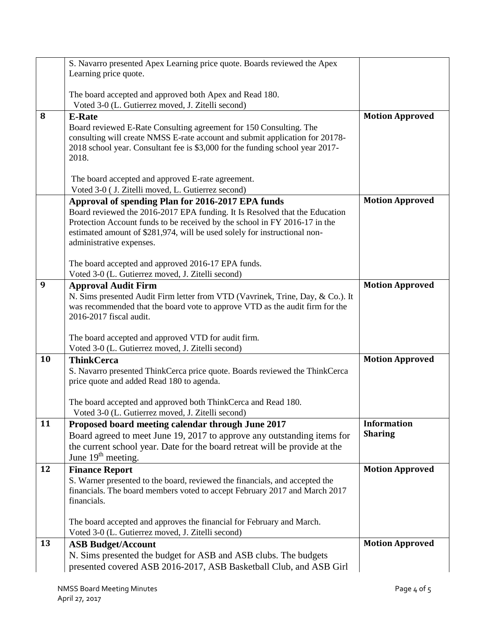|    | S. Navarro presented Apex Learning price quote. Boards reviewed the Apex                                                                                                                                                                                                                                                |                                      |
|----|-------------------------------------------------------------------------------------------------------------------------------------------------------------------------------------------------------------------------------------------------------------------------------------------------------------------------|--------------------------------------|
|    | Learning price quote.                                                                                                                                                                                                                                                                                                   |                                      |
|    | The board accepted and approved both Apex and Read 180.                                                                                                                                                                                                                                                                 |                                      |
|    | Voted 3-0 (L. Gutierrez moved, J. Zitelli second)                                                                                                                                                                                                                                                                       |                                      |
| 8  | <b>E-Rate</b>                                                                                                                                                                                                                                                                                                           | <b>Motion Approved</b>               |
|    | Board reviewed E-Rate Consulting agreement for 150 Consulting. The<br>consulting will create NMSS E-rate account and submit application for 20178-<br>2018 school year. Consultant fee is \$3,000 for the funding school year 2017-<br>2018.                                                                            |                                      |
|    | The board accepted and approved E-rate agreement.                                                                                                                                                                                                                                                                       |                                      |
|    | Voted 3-0 (J. Zitelli moved, L. Gutierrez second)                                                                                                                                                                                                                                                                       |                                      |
|    | Approval of spending Plan for 2016-2017 EPA funds<br>Board reviewed the 2016-2017 EPA funding. It Is Resolved that the Education<br>Protection Account funds to be received by the school in FY 2016-17 in the<br>estimated amount of \$281,974, will be used solely for instructional non-<br>administrative expenses. | <b>Motion Approved</b>               |
|    | The board accepted and approved 2016-17 EPA funds.                                                                                                                                                                                                                                                                      |                                      |
|    | Voted 3-0 (L. Gutierrez moved, J. Zitelli second)                                                                                                                                                                                                                                                                       |                                      |
| 9  | <b>Approval Audit Firm</b>                                                                                                                                                                                                                                                                                              | <b>Motion Approved</b>               |
|    | N. Sims presented Audit Firm letter from VTD (Vavrinek, Trine, Day, & Co.). It<br>was recommended that the board vote to approve VTD as the audit firm for the<br>2016-2017 fiscal audit.                                                                                                                               |                                      |
|    | The board accepted and approved VTD for audit firm.                                                                                                                                                                                                                                                                     |                                      |
|    | Voted 3-0 (L. Gutierrez moved, J. Zitelli second)                                                                                                                                                                                                                                                                       |                                      |
| 10 | <b>ThinkCerca</b><br>S. Navarro presented ThinkCerca price quote. Boards reviewed the ThinkCerca<br>price quote and added Read 180 to agenda.                                                                                                                                                                           | <b>Motion Approved</b>               |
|    | The board accepted and approved both ThinkCerca and Read 180.<br>Voted 3-0 (L. Gutierrez moved, J. Zitelli second)                                                                                                                                                                                                      |                                      |
| 11 | Proposed board meeting calendar through June 2017<br>Board agreed to meet June 19, 2017 to approve any outstanding items for<br>the current school year. Date for the board retreat will be provide at the<br>June $19th$ meeting.                                                                                      | <b>Information</b><br><b>Sharing</b> |
| 12 | <b>Finance Report</b>                                                                                                                                                                                                                                                                                                   | <b>Motion Approved</b>               |
|    | S. Warner presented to the board, reviewed the financials, and accepted the<br>financials. The board members voted to accept February 2017 and March 2017<br>financials.                                                                                                                                                |                                      |
|    | The board accepted and approves the financial for February and March.<br>Voted 3-0 (L. Gutierrez moved, J. Zitelli second)                                                                                                                                                                                              |                                      |
| 13 | <b>ASB Budget/Account</b><br>N. Sims presented the budget for ASB and ASB clubs. The budgets<br>presented covered ASB 2016-2017, ASB Basketball Club, and ASB Girl                                                                                                                                                      | <b>Motion Approved</b>               |